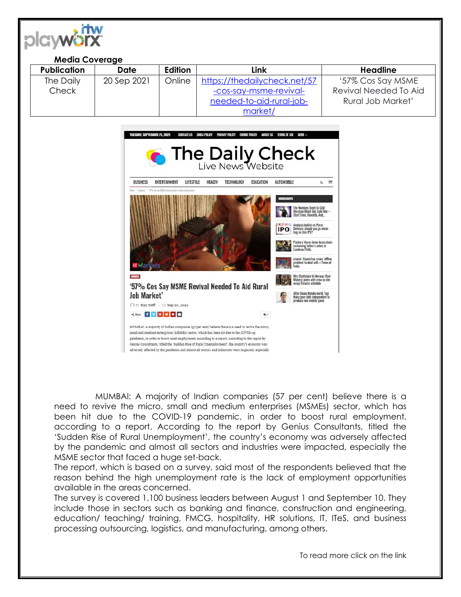|                                                                                                                                                                                                             | <b>Media Coverage</b> |                    |                |                                                                         |                                                                                            |                       |
|-------------------------------------------------------------------------------------------------------------------------------------------------------------------------------------------------------------|-----------------------|--------------------|----------------|-------------------------------------------------------------------------|--------------------------------------------------------------------------------------------|-----------------------|
|                                                                                                                                                                                                             | <b>Publication</b>    | <b>Date</b>        | Edition        | Link                                                                    |                                                                                            | <b>Headline</b>       |
|                                                                                                                                                                                                             | The Daily             | 20 Sep 2021        | Online         | https://thedailycheck.net/57                                            |                                                                                            | '57% Cos Say MSME     |
| Check                                                                                                                                                                                                       |                       |                    |                | -cos-say-msme-revival-                                                  |                                                                                            | Revival Needed To Aid |
|                                                                                                                                                                                                             |                       |                    |                | needed-to-aid-rural-job-                                                |                                                                                            | Rural Job Market'     |
|                                                                                                                                                                                                             |                       |                    |                | market/                                                                 |                                                                                            |                       |
|                                                                                                                                                                                                             |                       |                    |                |                                                                         |                                                                                            |                       |
| TUESDAY, SEPTEMBER 21, 2021<br><b>CONTACT US</b><br><b>DMCA POLICY PRIVACY POLICY</b><br><b>COOKIE POLICY</b><br>ABOUT US TERMS OF USE<br><b>MORE ~</b>                                                     |                       |                    |                |                                                                         |                                                                                            |                       |
|                                                                                                                                                                                                             |                       |                    |                |                                                                         |                                                                                            |                       |
| <b>The Daily Check</b>                                                                                                                                                                                      |                       |                    |                |                                                                         |                                                                                            |                       |
|                                                                                                                                                                                                             |                       |                    |                |                                                                         |                                                                                            |                       |
| ENTERTAINMENT<br>LIFESTYLE<br>HEALTH<br>TECHNOLOGY<br><b>EDUCATION</b><br>AUTOMOBILE<br>$Q \equiv$<br><b>BUSINESS</b><br>Bestims > SP4 cas say MME revival needed to ad raral job market<br><b>SHLIGHTS</b> |                       |                    |                |                                                                         |                                                                                            |                       |
|                                                                                                                                                                                                             |                       |                    |                |                                                                         |                                                                                            |                       |
|                                                                                                                                                                                                             |                       |                    |                |                                                                         | The Numbers Event In CoD:<br>Warzone/Black Oos Cold War                                    |                       |
|                                                                                                                                                                                                             |                       |                    |                |                                                                         | Start Time, Rewards, And.                                                                  |                       |
|                                                                                                                                                                                                             |                       |                    |                | <b>Analysts bullish on Paras</b><br>Defence: should you go whole<br>IPO |                                                                                            |                       |
|                                                                                                                                                                                                             |                       |                    |                |                                                                         | Packers' Aaron Jones loses chain                                                           |                       |
|                                                                                                                                                                                                             |                       |                    |                |                                                                         | containing father's ashes at<br>Lambeau Field.                                             |                       |
|                                                                                                                                                                                                             |                       |                    |                |                                                                         | xiaomi: Xiaomi has a new 'offline<br>problem' to deal with - Times of                      |                       |
|                                                                                                                                                                                                             |                       |                    | <b>BUSHESS</b> |                                                                         | Mrs Chatterjee Vs Norway: Rani                                                             |                       |
|                                                                                                                                                                                                             |                       |                    |                | '57% Cos Say MSME Revival Needed To Aid Rural                           | Mukerji poses with crew as she<br>wraps Estonia schedi                                     |                       |
|                                                                                                                                                                                                             |                       | <b>Job Market'</b> |                |                                                                         | After Balan Wonderworld, Yuii<br>Naka goes fully independent to<br>produce new mobile game |                       |

MUMBAI: A majority of Indian companies (57 per cent) believe there is a need to revive the micro, small and medium enterprises (MSMEs) sector, which has been hit due to the COVID-19 pandemic, in order to boost rural employment, according to a report. According to the report by Genius Consultants, titled the 'Sudden Rise of Rural Unemployment', the country's economy was adversely affected by the pandemic and almost all sectors and industries were impacted, especially the MSME sector that faced a huge set-back.

 $\bigcap$  By Dan Neff - On Sep 20, 2021 **Came for Google** 

MUMBAI: A majority of Indian companies (57 per cent) believe there is a need to revive the micro, small and medium enterprises (MSMEs) sector, which has been hit due to the COVID-19 pandemic, in order to boost rural employment, according to a report. According to the report by Genius Consultants, titled the 'Sudden Rise of Rural Unemployment', the country's economy was adversely affected by the pandemic and almost all sectors and industries were impacted, especially

The report, which is based on a survey, said most of the respondents believed that the reason behind the high unemployment rate is the lack of employment opportunities available in the areas concerned.

The survey is covered 1,100 business leaders between August 1 and September 10. They include those in sectors such as banking and finance, construction and engineering, education/ teaching/ training, FMCG, hospitality, HR solutions, IT, ITeS, and business processing outsourcing, logistics, and manufacturing, among others.